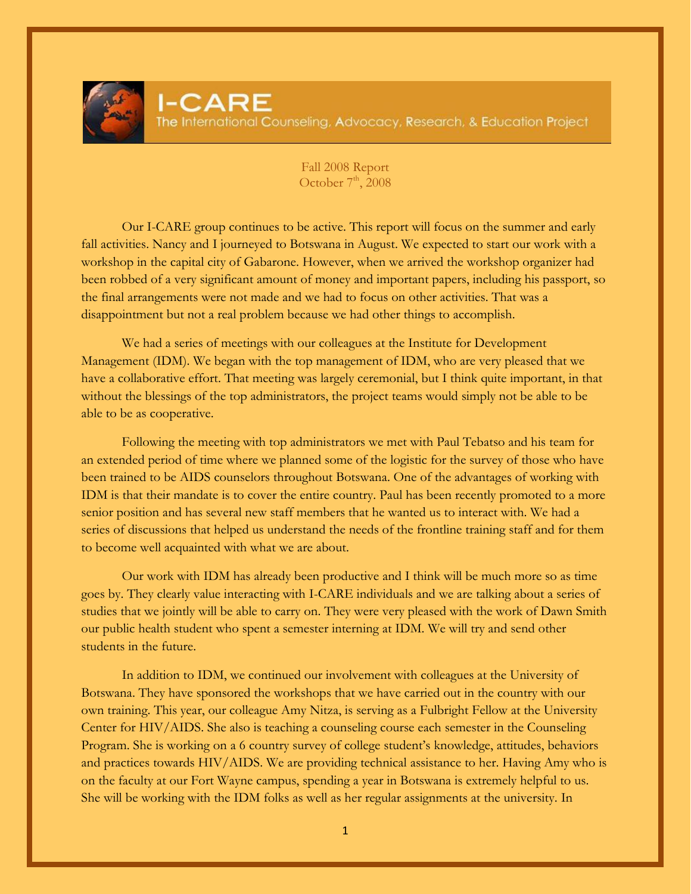Fall 2008 Report October  $7<sup>th</sup>$ , 2008

Our I-CARE group continues to be active. This report will focus on the summer and early fall activities. Nancy and I journeyed to Botswana in August. We expected to start our work with a workshop in the capital city of Gabarone. However, when we arrived the workshop organizer had been robbed of a very significant amount of money and important papers, including his passport, so the final arrangements were not made and we had to focus on other activities. That was a disappointment but not a real problem because we had other things to accomplish.

We had a series of meetings with our colleagues at the Institute for Development Management (IDM). We began with the top management of IDM, who are very pleased that we have a collaborative effort. That meeting was largely ceremonial, but I think quite important, in that without the blessings of the top administrators, the project teams would simply not be able to be able to be as cooperative.

Following the meeting with top administrators we met with Paul Tebatso and his team for an extended period of time where we planned some of the logistic for the survey of those who have been trained to be AIDS counselors throughout Botswana. One of the advantages of working with IDM is that their mandate is to cover the entire country. Paul has been recently promoted to a more senior position and has several new staff members that he wanted us to interact with. We had a series of discussions that helped us understand the needs of the frontline training staff and for them to become well acquainted with what we are about.

Our work with IDM has already been productive and I think will be much more so as time goes by. They clearly value interacting with I-CARE individuals and we are talking about a series of studies that we jointly will be able to carry on. They were very pleased with the work of Dawn Smith our public health student who spent a semester interning at IDM. We will try and send other students in the future.

In addition to IDM, we continued our involvement with colleagues at the University of Botswana. They have sponsored the workshops that we have carried out in the country with our own training. This year, our colleague Amy Nitza, is serving as a Fulbright Fellow at the University Center for HIV/AIDS. She also is teaching a counseling course each semester in the Counseling Program. She is working on a 6 country survey of college student's knowledge, attitudes, behaviors and practices towards HIV/AIDS. We are providing technical assistance to her. Having Amy who is on the faculty at our Fort Wayne campus, spending a year in Botswana is extremely helpful to us. She will be working with the IDM folks as well as her regular assignments at the university. In